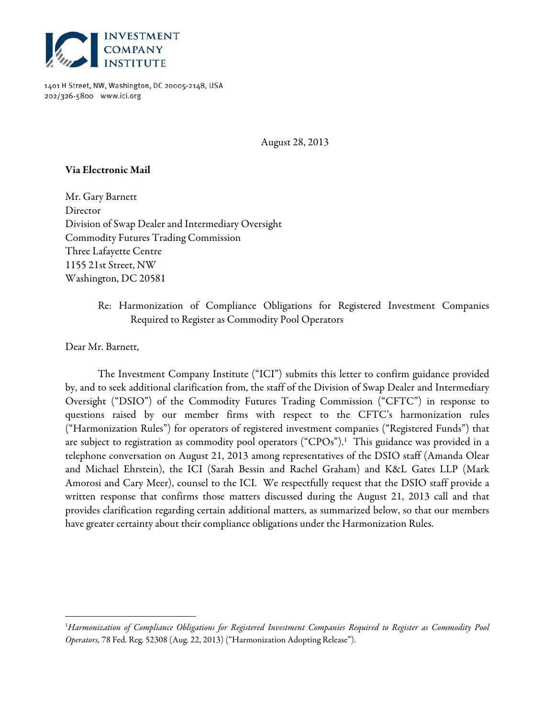

1401 H Street, NW, Washington, DC 20005-2148, USA 202/326-5800 www.ici.org

August 28, 2013

## Via Electronic Mail

Mr. Gary Barnett Director Division of Swap Dealer and Intermediary Oversight Commodity Futures Trading Commission Three Lafayette Centre 1155 21st Street, NW Washington, DC 20581

# Re: Harmonization of Compliance Obligations for Registered Investment Companies Required to Register as Commodity Pool Operators

Dear Mr. Barnett,

 $\overline{a}$ 

 The Investment Company Institute ("ICI") submits this letter to confirm guidance provided by, and to seek additional clarification from, the staff of the Division of Swap Dealer and Intermediary Oversight ("DSIO") of the Commodity Futures Trading Commission ("CFTC") in response to questions raised by our member firms with respect to the CFTC's harmonization rules ("Harmonization Rules") for operators of registered investment companies ("Registered Funds") that are subject to registration as commodity pool operators ("CPOs"). $^1$  This guidance was provided in a telephone conversation on August 21, 2013 among representatives of the DSIO staff (Amanda Olear and Michael Ehrstein), the ICI (Sarah Bessin and Rachel Graham) and K&L Gates LLP (Mark Amorosi and Cary Meer), counsel to the ICI. We respectfully request that the DSIO staff provide a written response that confirms those matters discussed during the August 21, 2013 call and that provides clarification regarding certain additional matters, as summarized below, so that our members have greater certainty about their compliance obligations under the Harmonization Rules.

<sup>1</sup> Harmonization of Compliance Obligations for Registered Investment Companies Required to Register as Commodity Pool Operators, 78 Fed. Reg. 52308 (Aug. 22, 2013) ("Harmonization Adopting Release").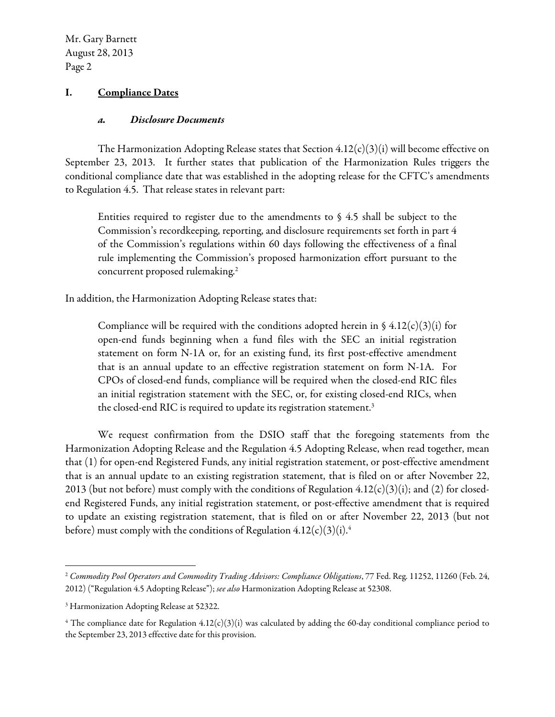### I. Compliance Dates

#### a. Disclosure Documents

The Harmonization Adopting Release states that Section  $4.12(c)(3)(i)$  will become effective on September 23, 2013. It further states that publication of the Harmonization Rules triggers the conditional compliance date that was established in the adopting release for the CFTC's amendments to Regulation 4.5. That release states in relevant part:

Entities required to register due to the amendments to  $\S$  4.5 shall be subject to the Commission's recordkeeping, reporting, and disclosure requirements set forth in part 4 of the Commission's regulations within 60 days following the effectiveness of a final rule implementing the Commission's proposed harmonization effort pursuant to the concurrent proposed rulemaking.<sup>2</sup>

In addition, the Harmonization Adopting Release states that:

Compliance will be required with the conditions adopted herein in  $\frac{6}{9}$  4.12(c)(3)(i) for open-end funds beginning when a fund files with the SEC an initial registration statement on form N-1A or, for an existing fund, its first post-effective amendment that is an annual update to an effective registration statement on form N-1A. For CPOs of closed-end funds, compliance will be required when the closed-end RIC files an initial registration statement with the SEC, or, for existing closed-end RICs, when the closed-end RIC is required to update its registration statement.<sup>3</sup>

We request confirmation from the DSIO staff that the foregoing statements from the Harmonization Adopting Release and the Regulation 4.5 Adopting Release, when read together, mean that (1) for open-end Registered Funds, any initial registration statement, or post-effective amendment that is an annual update to an existing registration statement, that is filed on or after November 22, 2013 (but not before) must comply with the conditions of Regulation  $4.12(c)(3)(i)$ ; and (2) for closedend Registered Funds, any initial registration statement, or post-effective amendment that is required to update an existing registration statement, that is filed on or after November 22, 2013 (but not before) must comply with the conditions of Regulation  $4.12(c)(3)(i).4$ 

<u>.</u>

<sup>&</sup>lt;sup>2</sup> Commodity Pool Operators and Commodity Trading Advisors: Compliance Obligations, 77 Fed. Reg. 11252, 11260 (Feb. 24, 2012) ("Regulation 4.5 Adopting Release"); see also Harmonization Adopting Release at 52308.

<sup>&</sup>lt;sup>3</sup> Harmonization Adopting Release at 52322.

 $4$  The compliance date for Regulation  $4.12(c)(3)(i)$  was calculated by adding the 60-day conditional compliance period to the September 23, 2013 effective date for this provision.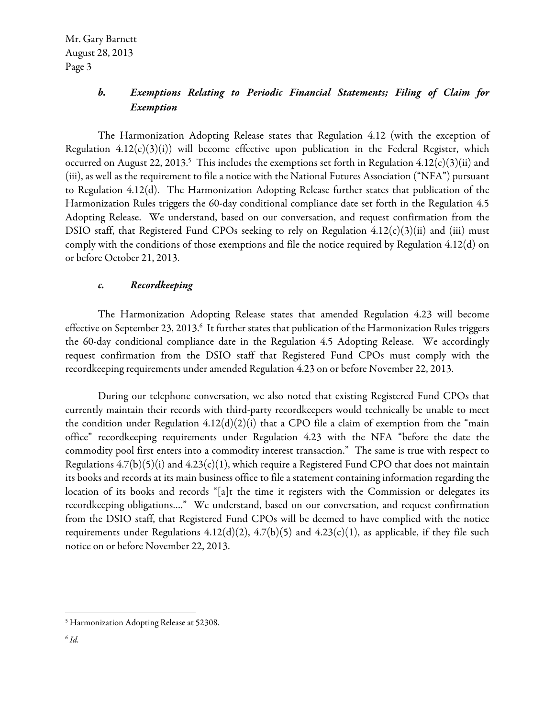# b. Exemptions Relating to Periodic Financial Statements; Filing of Claim for Exemption

The Harmonization Adopting Release states that Regulation 4.12 (with the exception of Regulation  $4.12(c)(3)(i)$ ) will become effective upon publication in the Federal Register, which occurred on August 22, 2013.<sup>5</sup> This includes the exemptions set forth in Regulation 4.12(c)(3)(ii) and (iii), as well as the requirement to file a notice with the National Futures Association ("NFA") pursuant to Regulation 4.12(d). The Harmonization Adopting Release further states that publication of the Harmonization Rules triggers the 60-day conditional compliance date set forth in the Regulation 4.5 Adopting Release. We understand, based on our conversation, and request confirmation from the DSIO staff, that Registered Fund CPOs seeking to rely on Regulation 4.12(c)(3)(ii) and (iii) must comply with the conditions of those exemptions and file the notice required by Regulation 4.12(d) on or before October 21, 2013.

#### c. Recordkeeping

The Harmonization Adopting Release states that amended Regulation 4.23 will become effective on September 23, 2013.<sup>6</sup> It further states that publication of the Harmonization Rules triggers the 60-day conditional compliance date in the Regulation 4.5 Adopting Release. We accordingly request confirmation from the DSIO staff that Registered Fund CPOs must comply with the recordkeeping requirements under amended Regulation 4.23 on or before November 22, 2013.

During our telephone conversation, we also noted that existing Registered Fund CPOs that currently maintain their records with third-party recordkeepers would technically be unable to meet the condition under Regulation  $4.12(d)(2)(i)$  that a CPO file a claim of exemption from the "main office" recordkeeping requirements under Regulation 4.23 with the NFA "before the date the commodity pool first enters into a commodity interest transaction." The same is true with respect to Regulations  $4.7(b)(5)(i)$  and  $4.23(c)(1)$ , which require a Registered Fund CPO that does not maintain its books and records at its main business office to file a statement containing information regarding the location of its books and records "[a]t the time it registers with the Commission or delegates its recordkeeping obligations…." We understand, based on our conversation, and request confirmation from the DSIO staff, that Registered Fund CPOs will be deemed to have complied with the notice requirements under Regulations  $4.12(d)(2)$ ,  $4.7(b)(5)$  and  $4.23(c)(1)$ , as applicable, if they file such notice on or before November 22, 2013.

 $\overline{a}$ 

<sup>&</sup>lt;sup>5</sup> Harmonization Adopting Release at 52308.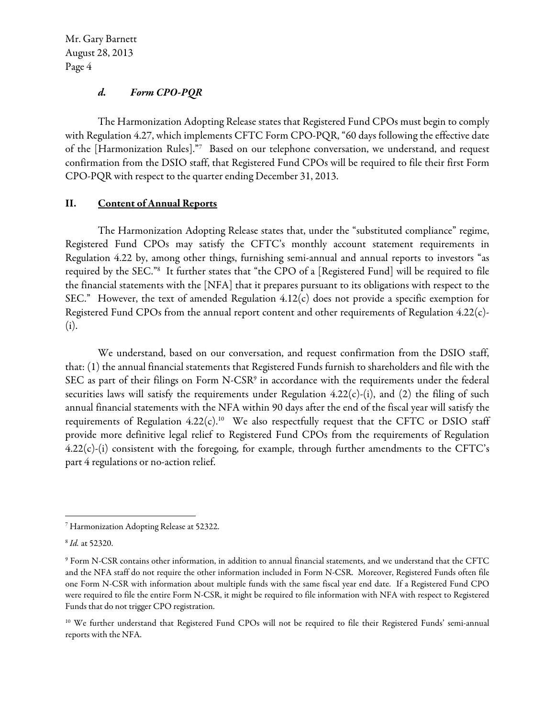## d. Form CPO-PQR

The Harmonization Adopting Release states that Registered Fund CPOs must begin to comply with Regulation 4.27, which implements CFTC Form CPO-PQR, "60 days following the effective date of the [Harmonization Rules]."7 Based on our telephone conversation, we understand, and request confirmation from the DSIO staff, that Registered Fund CPOs will be required to file their first Form CPO-PQR with respect to the quarter ending December 31, 2013.

## II. Content of Annual Reports

 The Harmonization Adopting Release states that, under the "substituted compliance" regime, Registered Fund CPOs may satisfy the CFTC's monthly account statement requirements in Regulation 4.22 by, among other things, furnishing semi-annual and annual reports to investors "as required by the SEC."8 It further states that "the CPO of a [Registered Fund] will be required to file the financial statements with the [NFA] that it prepares pursuant to its obligations with respect to the SEC." However, the text of amended Regulation 4.12(c) does not provide a specific exemption for Registered Fund CPOs from the annual report content and other requirements of Regulation 4.22(c)- (i).

We understand, based on our conversation, and request confirmation from the DSIO staff, that: (1) the annual financial statements that Registered Funds furnish to shareholders and file with the SEC as part of their filings on Form N-CSR<sup>9</sup> in accordance with the requirements under the federal securities laws will satisfy the requirements under Regulation  $4.22(c)$ -(i), and (2) the filing of such annual financial statements with the NFA within 90 days after the end of the fiscal year will satisfy the requirements of Regulation  $4.22(c)$ .<sup>10</sup> We also respectfully request that the CFTC or DSIO staff provide more definitive legal relief to Registered Fund CPOs from the requirements of Regulation 4.22(c)-(i) consistent with the foregoing, for example, through further amendments to the CFTC's part 4 regulations or no-action relief.

 $\overline{a}$ 

<sup>7</sup> Harmonization Adopting Release at 52322.

<sup>8</sup> Id. at 52320.

<sup>9</sup> Form N-CSR contains other information, in addition to annual financial statements, and we understand that the CFTC and the NFA staff do not require the other information included in Form N-CSR. Moreover, Registered Funds often file one Form N-CSR with information about multiple funds with the same fiscal year end date. If a Registered Fund CPO were required to file the entire Form N-CSR, it might be required to file information with NFA with respect to Registered Funds that do not trigger CPO registration.

<sup>&</sup>lt;sup>10</sup> We further understand that Registered Fund CPOs will not be required to file their Registered Funds' semi-annual reports with the NFA.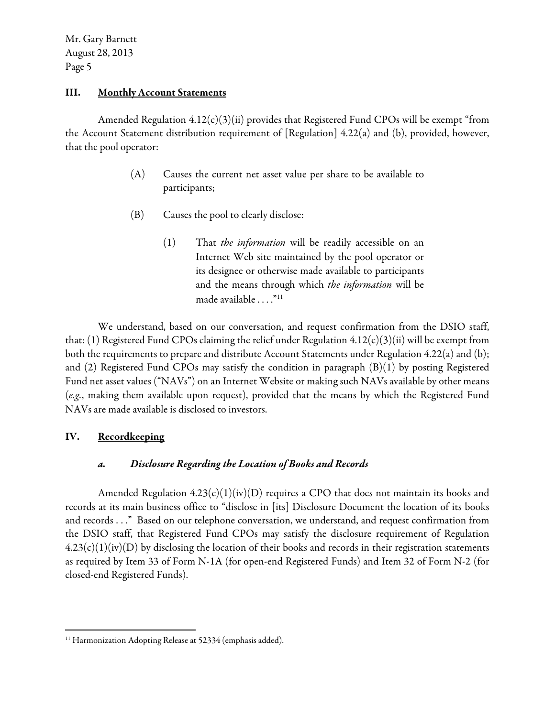#### III. Monthly Account Statements

Amended Regulation  $4.12(c)(3)(ii)$  provides that Registered Fund CPOs will be exempt "from the Account Statement distribution requirement of [Regulation] 4.22(a) and (b), provided, however, that the pool operator:

- (A) Causes the current net asset value per share to be available to participants;
- (B) Causes the pool to clearly disclose:
	- $(1)$  That *the information* will be readily accessible on an Internet Web site maintained by the pool operator or its designee or otherwise made available to participants and the means through which the information will be made available . . . ."11

 We understand, based on our conversation, and request confirmation from the DSIO staff, that: (1) Registered Fund CPOs claiming the relief under Regulation  $4.12(c)(3)(ii)$  will be exempt from both the requirements to prepare and distribute Account Statements under Regulation 4.22(a) and (b); and (2) Registered Fund CPOs may satisfy the condition in paragraph (B)(1) by posting Registered Fund net asset values ("NAVs") on an Internet Website or making such NAVs available by other means (e.g., making them available upon request), provided that the means by which the Registered Fund NAVs are made available is disclosed to investors.

### IV. Recordkeeping

 $\overline{a}$ 

### a. Disclosure Regarding the Location of Books and Records

Amended Regulation  $4.23(c)(1)(iv)(D)$  requires a CPO that does not maintain its books and records at its main business office to "disclose in [its] Disclosure Document the location of its books and records . . ." Based on our telephone conversation, we understand, and request confirmation from the DSIO staff, that Registered Fund CPOs may satisfy the disclosure requirement of Regulation  $4.23(c)(1)(iv)(D)$  by disclosing the location of their books and records in their registration statements as required by Item 33 of Form N-1A (for open-end Registered Funds) and Item 32 of Form N-2 (for closed-end Registered Funds).

<sup>&</sup>lt;sup>11</sup> Harmonization Adopting Release at 52334 (emphasis added).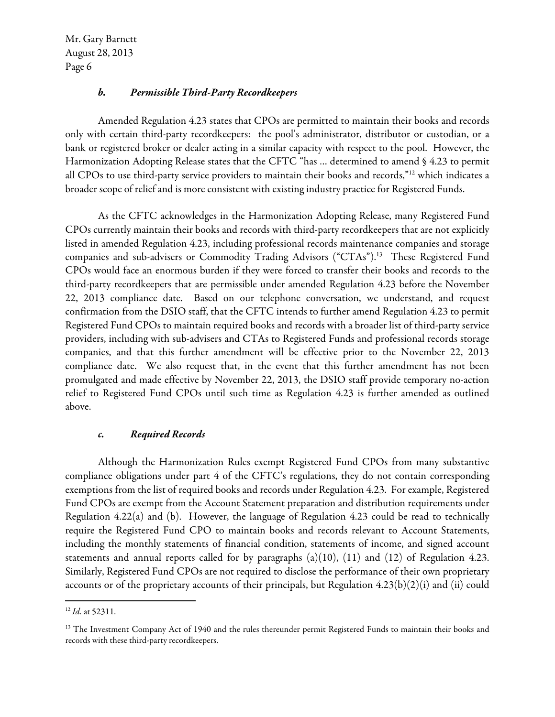#### b. Permissible Third-Party Recordkeepers

Amended Regulation 4.23 states that CPOs are permitted to maintain their books and records only with certain third-party recordkeepers: the pool's administrator, distributor or custodian, or a bank or registered broker or dealer acting in a similar capacity with respect to the pool. However, the Harmonization Adopting Release states that the CFTC "has … determined to amend § 4.23 to permit all CPOs to use third-party service providers to maintain their books and records,"12 which indicates a broader scope of relief and is more consistent with existing industry practice for Registered Funds.

As the CFTC acknowledges in the Harmonization Adopting Release, many Registered Fund CPOs currently maintain their books and records with third-party recordkeepers that are not explicitly listed in amended Regulation 4.23, including professional records maintenance companies and storage companies and sub-advisers or Commodity Trading Advisors ("CTAs").13 These Registered Fund CPOs would face an enormous burden if they were forced to transfer their books and records to the third-party recordkeepers that are permissible under amended Regulation 4.23 before the November 22, 2013 compliance date. Based on our telephone conversation, we understand, and request confirmation from the DSIO staff, that the CFTC intends to further amend Regulation 4.23 to permit Registered Fund CPOs to maintain required books and records with a broader list of third-party service providers, including with sub-advisers and CTAs to Registered Funds and professional records storage companies, and that this further amendment will be effective prior to the November 22, 2013 compliance date. We also request that, in the event that this further amendment has not been promulgated and made effective by November 22, 2013, the DSIO staff provide temporary no-action relief to Registered Fund CPOs until such time as Regulation 4.23 is further amended as outlined above.

#### c. Required Records

Although the Harmonization Rules exempt Registered Fund CPOs from many substantive compliance obligations under part 4 of the CFTC's regulations, they do not contain corresponding exemptions from the list of required books and records under Regulation 4.23. For example, Registered Fund CPOs are exempt from the Account Statement preparation and distribution requirements under Regulation 4.22(a) and (b). However, the language of Regulation 4.23 could be read to technically require the Registered Fund CPO to maintain books and records relevant to Account Statements, including the monthly statements of financial condition, statements of income, and signed account statements and annual reports called for by paragraphs (a)(10), (11) and (12) of Regulation 4.23. Similarly, Registered Fund CPOs are not required to disclose the performance of their own proprietary accounts or of the proprietary accounts of their principals, but Regulation  $4.23(b)(2)(i)$  and (ii) could

 $\overline{a}$ 

 $12$  *Id.* at 52311.

<sup>&</sup>lt;sup>13</sup> The Investment Company Act of 1940 and the rules thereunder permit Registered Funds to maintain their books and records with these third-party recordkeepers.